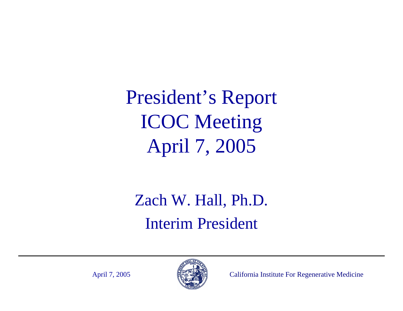President's Report ICOC Meeting April 7, 2005

Zach W. Hall, Ph.D. Interim President

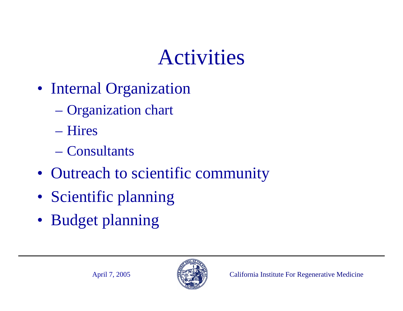## Activities

- Internal Organization
	- Organization chart
	- Hires
	- Consultants
- Outreach to scientific community
- Scientific planning
- Budget planning

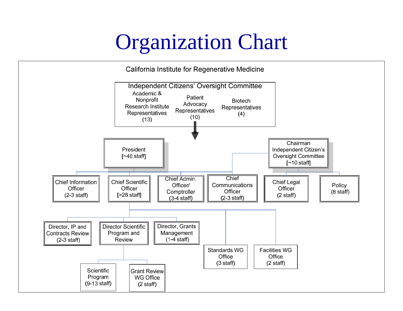#### Organization Chart

California Institute for Regenerative Medicine

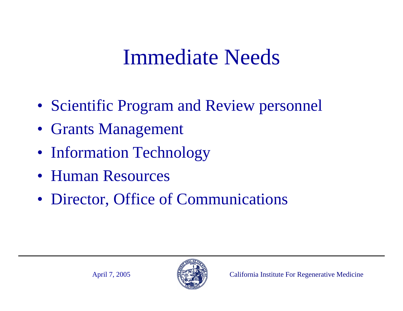### Immediate Needs

- Scientific Program and Review personnel
- Grants Management
- Information Technology
- Human Resources
- Director, Office of Communications

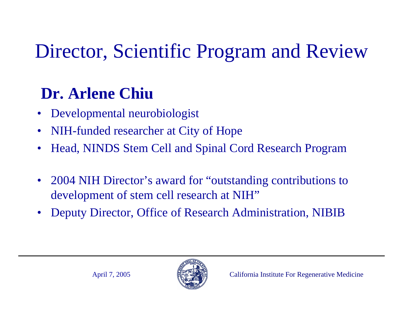### Director, Scientific Program and Review

#### **Dr. Arlene Chiu**

- •Developmental neurobiologist
- $\bullet$ NIH-funded researcher at City of Hope
- •Head, NINDS Stem Cell and Spinal Cord Research Program
- • 2004 NIH Director's award for "outstanding contributions to development of stem cell research at NIH"
- •Deputy Director, Office of Research Administration, NIBIB

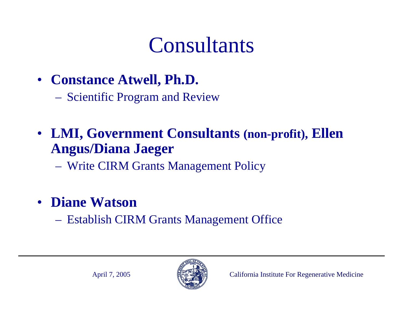### **Consultants**

- **Constance Atwell, Ph.D.**
	- Scientific Program and Review
- **LMI, Government Consultants (non-profit), Ellen Angus/Diana Jaeger**
	- Write CIRM Grants Management Policy
- **Diane Watson**
	- Establish CIRM Grants Management Office

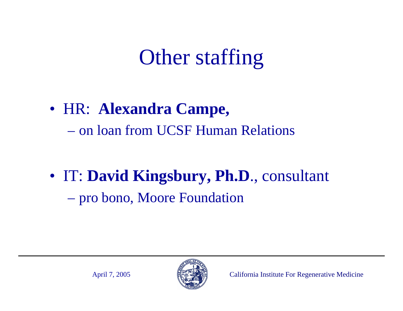# Other staffing

• HR: **Alexandra Campe,** – on loan from UCSF Human Relations

• IT: **David Kingsbury, Ph.D**., consultant  $\mathcal{L}_{\mathcal{A}}$ pro bono, Moore Foundation

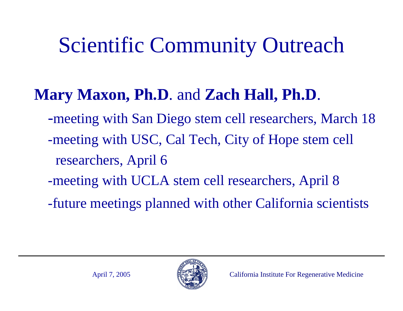# Scientific Community Outreach

#### **Mary Maxon, Ph.D**. and **Zach Hall, Ph.D**.

- -meeting with San Diego stem cell researchers, March 18
- -meeting with USC, Cal Tech, City of Hope stem cell researchers, April 6
- -meeting with UCLA stem cell researchers, April 8
- -future meetings planned with other California scientists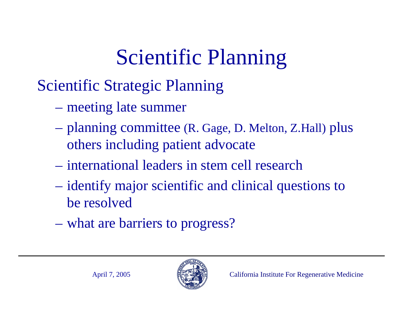# Scientific Planning

#### Scientific Strategic Planning

- meeting late summer
- $\mathcal{L}_{\mathcal{A}}$  planning committee (R. Gage, D. Melton, Z.Hall) plus others including patient advocate
- international leaders in stem cell research
- $\mathcal{L}_{\mathcal{A}}$  identify major scientific and clinical questions to be resolved
- what are barriers to progress?

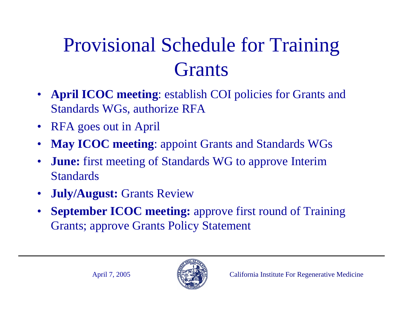## Provisional Schedule for Training **Grants**

- • **April ICOC meeting**: establish COI policies for Grants and Standards WGs, authorize RFA
- $\bullet$ RFA goes out in April
- •**May ICOC meeting**: appoint Grants and Standards WGs
- • **June:** first meeting of Standards WG to approve Interim **Standards**
- $\bullet$ **July/August:** Grants Review
- • **September ICOC meeting:** approve first round of Training Grants; approve Grants Policy Statement